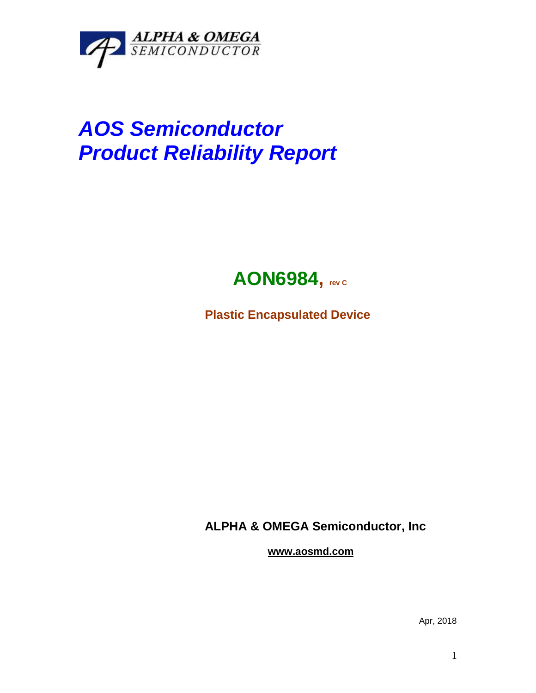

## *AOS Semiconductor Product Reliability Report*



**Plastic Encapsulated Device**

**ALPHA & OMEGA Semiconductor, Inc**

**www.aosmd.com**

Apr, 2018